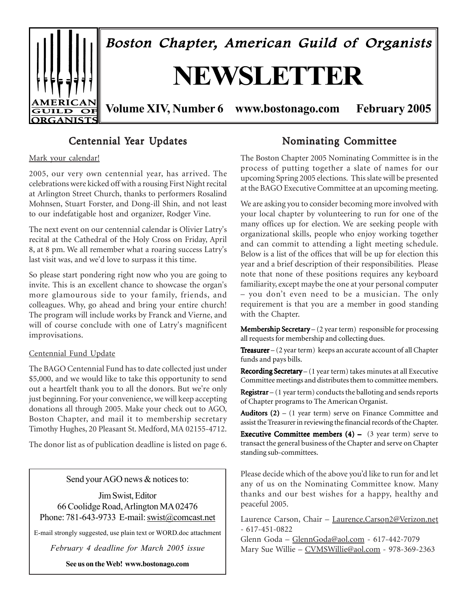

# Centennial Year Updates

#### Mark your calendar!

2005, our very own centennial year, has arrived. The celebrations were kicked off with a rousing First Night recital at Arlington Street Church, thanks to performers Rosalind Mohnsen, Stuart Forster, and Dong-ill Shin, and not least to our indefatigable host and organizer, Rodger Vine.

The next event on our centennial calendar is Olivier Latry's recital at the Cathedral of the Holy Cross on Friday, April 8, at 8 pm. We all remember what a roaring success Latry's last visit was, and we'd love to surpass it this time.

So please start pondering right now who you are going to invite. This is an excellent chance to showcase the organ's more glamourous side to your family, friends, and colleagues. Why, go ahead and bring your entire church! The program will include works by Franck and Vierne, and will of course conclude with one of Latry's magnificent improvisations.

#### Centennial Fund Update

The BAGO Centennial Fund has to date collected just under \$5,000, and we would like to take this opportunity to send out a heartfelt thank you to all the donors. But we're only just beginning. For your convenience, we will keep accepting donations all through 2005. Make your check out to AGO, Boston Chapter, and mail it to membership secretary Timothy Hughes, 20 Pleasant St. Medford, MA 02155-4712.

The donor list as of publication deadline is listed on page 6.

Send your AGO news & notices to:

Jim Swist, Editor 66 Coolidge Road, Arlington MA 02476 Phone: 781-643-9733 E-mail: swist@comcast.net

E-mail strongly suggested, use plain text or WORD.doc attachment

*February 4 deadline for March 2005 issue*

**See us on the Web! www.bostonago.com**

### Nominating Committee

The Boston Chapter 2005 Nominating Committee is in the process of putting together a slate of names for our upcoming Spring 2005 elections. This slate will be presented at the BAGO Executive Committee at an upcoming meeting.

We are asking you to consider becoming more involved with your local chapter by volunteering to run for one of the many offices up for election. We are seeking people with organizational skills, people who enjoy working together and can commit to attending a light meeting schedule. Below is a list of the offices that will be up for election this year and a brief description of their responsibilities. Please note that none of these positions requires any keyboard familiarity, except maybe the one at your personal computer – you don't even need to be a musician. The only requirement is that you are a member in good standing with the Chapter.

**Membership Secretary** –  $(2 \text{ year term})$  responsible for processing all requests for membership and collecting dues.

**Treasurer**  $-$  (2 year term) keeps an accurate account of all Chapter funds and pays bills.

Recording Secretary –  $(1$  year term) takes minutes at all Executive Committee meetings and distributes them to committee members.

**Registrar** – (1 year term) conducts the balloting and sends reports of Chapter programs to The American Organist.

Auditors  $(2) - (1)$  year term) serve on Finance Committee and assist the Treasurer in reviewing the financial records of the Chapter.

**Executive Committee members (4) –** (3 year term) serve to transact the general business of the Chapter and serve on Chapter standing sub-committees.

Please decide which of the above you'd like to run for and let any of us on the Nominating Committee know. Many thanks and our best wishes for a happy, healthy and peaceful 2005.

Laurence Carson, Chair – Laurence.Carson2@Verizon.net - 617-451-0822

Glenn Goda – GlennGoda@aol.com - 617-442-7079 Mary Sue Willie – CVMSWillie@aol.com - 978-369-2363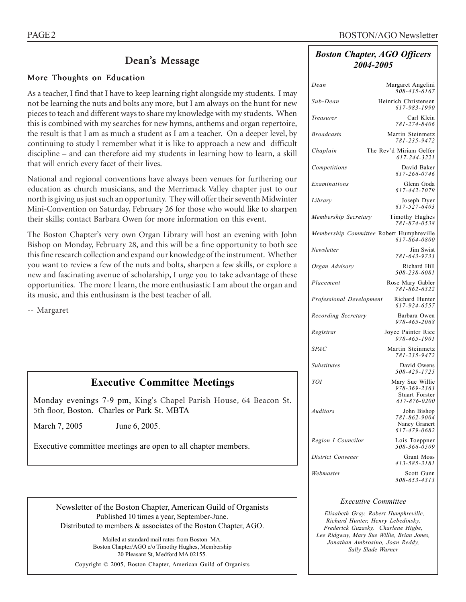### Dean's Message

#### More Thoughts on Education

As a teacher, I find that I have to keep learning right alongside my students. I may not be learning the nuts and bolts any more, but I am always on the hunt for new pieces to teach and different ways to share my knowledge with my students. When this is combined with my searches for new hymns, anthems and organ repertoire, the result is that I am as much a student as I am a teacher. On a deeper level, by continuing to study I remember what it is like to approach a new and difficult discipline – and can therefore aid my students in learning how to learn, a skill that will enrich every facet of their lives.

National and regional conventions have always been venues for furthering our education as church musicians, and the Merrimack Valley chapter just to our north is giving us just such an opportunity. They will offer their seventh Midwinter Mini-Convention on Saturday, February 26 for those who would like to sharpen their skills; contact Barbara Owen for more information on this event.

The Boston Chapter's very own Organ Library will host an evening with John Bishop on Monday, February 28, and this will be a fine opportunity to both see this fine research collection and expand our knowledge of the instrument. Whether you want to review a few of the nuts and bolts, sharpen a few skills, or explore a new and fascinating avenue of scholarship, I urge you to take advantage of these opportunities. The more I learn, the more enthusiastic I am about the organ and its music, and this enthusiasm is the best teacher of all.

-- Margaret

### **Executive Committee Meetings**

Monday evenings 7-9 pm, King's Chapel Parish House, 64 Beacon St. 5th floor, Boston. Charles or Park St. MBTA

March 7, 2005 June 6, 2005.

Executive committee meetings are open to all chapter members.

#### Newsletter of the Boston Chapter, American Guild of Organists Published 10 times a year, September-June. Distributed to members & associates of the Boston Chapter, AGO.

Mailed at standard mail rates from Boston MA. Boston Chapter/AGO c/o Timothy Hughes, Membership 20 Pleasant St, Medford MA 02155.

Copyright © 2005, Boston Chapter, American Guild of Organists

#### *Boston Chapter, AGO Officers 2004-2005*

| Dean                                     | Margaret Angelini<br>508-435-6167                                        |
|------------------------------------------|--------------------------------------------------------------------------|
| Sub-Dean                                 | Heinrich Christensen<br>617-983-1990                                     |
| Treasurer                                | Carl Klein<br>781-274-8406                                               |
| <b>Broadcasts</b>                        | Martin Steinmetz<br>781-235-9472                                         |
| Chaplain                                 | The Rev'd Miriam Gelfer<br>617-244-3221                                  |
| Competitions                             | David Baker<br>617-266-0746                                              |
| Examinations                             | Glenn Goda<br>617-442-7079                                               |
| Library                                  | Joseph Dyer<br>617-527-6403                                              |
| Membership Secretary                     | Timothy Hughes<br>781-874-0538                                           |
| Membership Committee Robert Humphreville | 617-864-0800                                                             |
| Newsletter                               | Jim Swist<br>781-643-9733                                                |
| Organ Advisory                           | Richard Hill<br>508-238-6081                                             |
| Placement                                | Rose Mary Gabler<br>781-862-6322                                         |
| Professional Development                 | Richard Hunter<br>617-924-6557                                           |
| Recording Secretary                      | Barbara Owen<br>978-465-2068                                             |
| Registrar                                | Joyce Painter Rice<br>978-465-1901                                       |
| <b>SPAC</b>                              | Martin Steinmetz<br>781-235-9472                                         |
| Substitutes                              | David Owens<br>508-429-1725                                              |
| YOI                                      | Mary Sue Willie<br>978-369-2363<br><b>Stuart Forster</b><br>617-876-0200 |
| Auditors                                 | John Bishop<br>781-862-9004<br>Nancy Granert<br>617-479-0682             |
| Region I Councilor                       | Lois Toeppner<br>508-366-0509                                            |
| District Convener                        | Grant Moss<br>413-585-3181                                               |
| Webmaster                                | Scott Gunn<br>508-653-4313                                               |
|                                          |                                                                          |

#### *Executive Committee*

 *Elisabeth Gray, Robert Humphreville, Richard Hunter, Henry Lebedinsky, Frederick Guzasky, Charlene Higbe, Lee Ridgway, Mary Sue Willie, Brian Jones, Jonathan Ambrosino, Joan Reddy, Sally Slade Warner*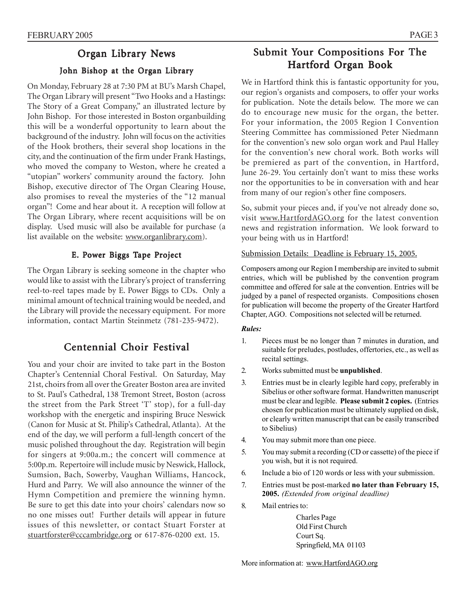## Organ Library News

#### John Bishop at the Organ Library

On Monday, February 28 at 7:30 PM at BU's Marsh Chapel, The Organ Library will present "Two Hooks and a Hastings: The Story of a Great Company," an illustrated lecture by John Bishop. For those interested in Boston organbuilding this will be a wonderful opportunity to learn about the background of the industry. John will focus on the activities of the Hook brothers, their several shop locations in the city, and the continuation of the firm under Frank Hastings, who moved the company to Weston, where he created a "utopian" workers' community around the factory. John Bishop, executive director of The Organ Clearing House, also promises to reveal the mysteries of the "12 manual organ"! Come and hear about it. A reception will follow at The Organ Library, where recent acquisitions will be on display. Used music will also be available for purchase (a list available on the website: www.organlibrary.com).

#### E. Power Biggs Tape Project

The Organ Library is seeking someone in the chapter who would like to assist with the Library's project of transferring reel-to-reel tapes made by E. Power Biggs to CDs. Only a minimal amount of technical training would be needed, and the Library will provide the necessary equipment. For more information, contact Martin Steinmetz (781-235-9472).

### Centennial Choir Festival

You and your choir are invited to take part in the Boston Chapter's Centennial Choral Festival. On Saturday, May 21st, choirs from all over the Greater Boston area are invited to St. Paul's Cathedral, 138 Tremont Street, Boston (across the street from the Park Street 'T' stop), for a full-day workshop with the energetic and inspiring Bruce Neswick (Canon for Music at St. Philip's Cathedral, Atlanta). At the end of the day, we will perform a full-length concert of the music polished throughout the day. Registration will begin for singers at 9:00a.m.; the concert will commence at 5:00p.m. Repertoire will include music by Neswick, Hallock, Sumsion, Bach, Sowerby, Vaughan Williams, Hancock, Hurd and Parry. We will also announce the winner of the Hymn Competition and premiere the winning hymn. Be sure to get this date into your choirs' calendars now so no one misses out! Further details will appear in future issues of this newsletter, or contact Stuart Forster at stuartforster@cccambridge.org or 617-876-0200 ext. 15.

# Submit Your Compositions For The Hartford Organ Book

We in Hartford think this is fantastic opportunity for you, our region's organists and composers, to offer your works for publication. Note the details below. The more we can do to encourage new music for the organ, the better. For your information, the 2005 Region I Convention Steering Committee has commissioned Peter Niedmann for the convention's new solo organ work and Paul Halley for the convention's new choral work. Both works will be premiered as part of the convention, in Hartford, June 26-29. You certainly don't want to miss these works nor the opportunities to be in conversation with and hear from many of our region's other fine composers.

So, submit your pieces and, if you've not already done so, visit www.HartfordAGO.org for the latest convention news and registration information. We look forward to your being with us in Hartford!

#### Submission Details: Deadline is February 15, 2005.

Composers among our Region I membership are invited to submit entries, which will be published by the convention program committee and offered for sale at the convention. Entries will be judged by a panel of respected organists. Compositions chosen for publication will become the property of the Greater Hartford Chapter, AGO. Compositions not selected will be returned.

#### *Rules:*

- 1. Pieces must be no longer than 7 minutes in duration, and suitable for preludes, postludes, offertories, etc., as well as recital settings.
- 2. Works submitted must be **unpublished**.
- 3. Entries must be in clearly legible hard copy, preferably in Sibelius or other software format. Handwritten manuscript must be clear and legible. **Please submit 2 copies.** (Entries chosen for publication must be ultimately supplied on disk, or clearly written manuscript that can be easily transcribed to Sibelius)
- 4. You may submit more than one piece.
- 5. You may submit a recording (CD or cassette) of the piece if you wish, but it is not required.
- 6. Include a bio of 120 words or less with your submission.
- 7. Entries must be post-marked **no later than February 15, 2005.** *(Extended from original deadline)*
- 8. Mail entries to:

Charles Page Old First Church Court Sq. Springfield, MA 01103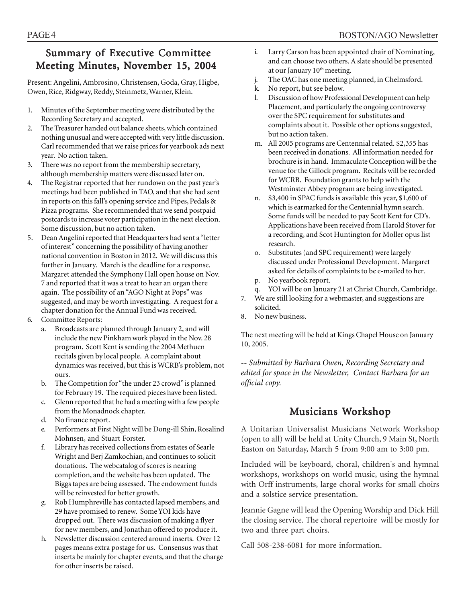# Summary of Executive Committee Meeting Minutes, November 15, 2004

Present: Angelini, Ambrosino, Christensen, Goda, Gray, Higbe, Owen, Rice, Ridgway, Reddy, Steinmetz, Warner, Klein.

- 1. Minutes of the September meeting were distributed by the Recording Secretary and accepted.
- 2. The Treasurer handed out balance sheets, which contained nothing unusual and were accepted with very little discussion. Carl recommended that we raise prices for yearbook ads next year. No action taken.
- 3. There was no report from the membership secretary, although membership matters were discussed later on.
- 4. The Registrar reported that her rundown on the past year's meetings had been published in TAO, and that she had sent in reports on this fall's opening service and Pipes, Pedals & Pizza programs. She recommended that we send postpaid postcards to increase voter participation in the next election. Some discussion, but no action taken.
- 5. Dean Angelini reported that Headquarters had sent a "letter of interest" concerning the possibility of having another national convention in Boston in 2012. We will discuss this further in January. March is the deadline for a response. Margaret attended the Symphony Hall open house on Nov. 7 and reported that it was a treat to hear an organ there again. The possibility of an "AGO Night at Pops" was suggested, and may be worth investigating. A request for a chapter donation for the Annual Fund was received.
- 6. Committee Reports:
	- a. Broadcasts are planned through January 2, and will include the new Pinkham work played in the Nov. 28 program. Scott Kent is sending the 2004 Methuen recitals given by local people. A complaint about dynamics was received, but this is WCRB's problem, not ours.
	- b. The Competition for "the under 23 crowd" is planned for February 19. The required pieces have been listed.
	- c. Glenn reported that he had a meeting with a few people from the Monadnock chapter.
	- d. No finance report.
	- e. Performers at First Night will be Dong-ill Shin, Rosalind Mohnsen, and Stuart Forster.
	- f. Library has received collections from estates of Searle Wright and Berj Zamkochian, and continues to solicit donations. The webcatalog of scores is nearing completion, and the website has been updated. The Biggs tapes are being assessed. The endowment funds will be reinvested for better growth.
	- g. Rob Humphreville has contacted lapsed members, and 29 have promised to renew. Some YOI kids have dropped out. There was discussion of making a flyer for new members, and Jonathan offered to produce it.
	- h. Newsletter discussion centered around inserts. Over 12 pages means extra postage for us. Consensus was that inserts be mainly for chapter events, and that the charge for other inserts be raised.
- i. Larry Carson has been appointed chair of Nominating, and can choose two others. A slate should be presented at our January 10<sup>th</sup> meeting.
- j. The OAC has one meeting planned, in Chelmsford.
- k. No report, but see below.
- l. Discussion of how Professional Development can help Placement, and particularly the ongoing controversy over the SPC requirement for substitutes and complaints about it. Possible other options suggested, but no action taken.
- m. All 2005 programs are Centennial related. \$2,355 has been received in donations. All information needed for brochure is in hand. Immaculate Conception will be the venue for the Gillock program. Recitals will be recorded for WCRB. Foundation grants to help with the Westminster Abbey program are being investigated.
- \$3,400 in SPAC funds is available this year, \$1,600 of which is earmarked for the Centennial hymn search. Some funds will be needed to pay Scott Kent for CD's. Applications have been received from Harold Stover for a recording, and Scot Huntington for Moller opus list research.
- o. Substitutes (and SPC requirement) were largely discussed under Professional Development. Margaret asked for details of complaints to be e-mailed to her.
- p. No yearbook report.
- q. YOI will be on January 21 at Christ Church, Cambridge.
- 7. We are still looking for a webmaster, and suggestions are solicited.
- 8. No new business.

The next meeting will be held at Kings Chapel House on January 10, 2005.

*-- Submitted by Barbara Owen, Recording Secretary and edited for space in the Newsletter, Contact Barbara for an official copy.*

# Musicians Workshop

A Unitarian Universalist Musicians Network Workshop (open to all) will be held at Unity Church, 9 Main St, North Easton on Saturday, March 5 from 9:00 am to 3:00 pm.

Included will be keyboard, choral, children's and hymnal workshops, workshops on world music, using the hymnal with Orff instruments, large choral works for small choirs and a solstice service presentation.

Jeannie Gagne will lead the Opening Worship and Dick Hill the closing service. The choral repertoire will be mostly for two and three part choirs.

Call 508-238-6081 for more information.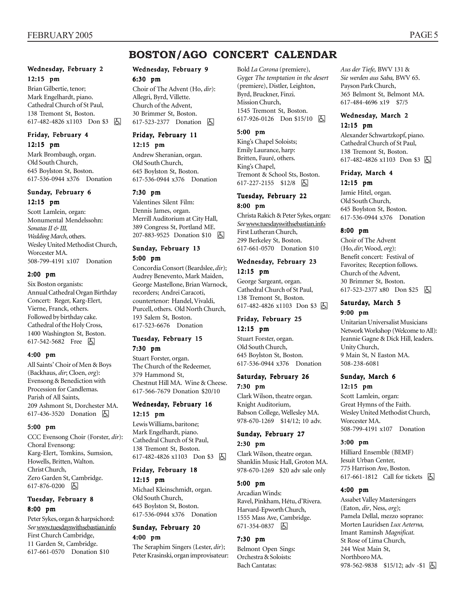# **BOSTON/AGO CONCERT CALENDAR**

#### Wednesday, February 2 12:15 pm

Brian Gilbertie, tenor; Mark Engelhardt, piano. Cathedral Church of St Paul, 138 Tremont St, Boston. 617-482-4826 x1103 Don \$3 h

#### Friday, February 4 12:15 pm

Mark Brombaugh, organ. Old South Church, 645 Boylston St, Boston. 617-536-0944 x376 Donation

#### Sunday, February 6 12:15 pm

Scott Lamlein, organ: Monumental Mendelssohn: *Sonatas II & III, Wedding March*, others. Wesley United Methodist Church, Worcester MA. 508-799-4191 x107 Donation

#### 2:00 pm

Six Boston organists: Annual Cathedral Organ Birthday Concert: Reger, Karg-Elert, Vierne, Franck, others. Followed by birthday cake. Cathedral of the Holy Cross, 1400 Washington St, Boston. 617-542-5682 Free 因

#### 4:00 pm

All Saints' Choir of Men & Boys (Backhaus, *dir*; Cloen, *org*): Evensong & Benediction with Procession for Candlemas. Parish of All Saints, 209 Ashmont St, Dorchester MA. 617-436-3520 Donation h

#### 5:00 pm

CCC Evensong Choir (Forster, *dir*): Choral Evensong: Karg-Elert, Tomkins, Sumsion, Howells, Britten, Walton. Christ Church, Zero Garden St, Cambridge. 617-876-0200 |  $\overline{\bigoplus}$ 

#### Tuesday, February 8 8:00 pm

Peter Sykes, organ & harpsichord: *See* www.tuesdayswithsebastian.info First Church Cambridge, 11 Garden St, Cambridge. 617-661-0570 Donation \$10

#### Wednesday, February 9 6:30 pm

Choir of The Advent (Ho, *dir*): Allegri, Byrd, Villette. Church of the Advent, 30 Brimmer St, Boston. 617-523-2377 Donation **b** 

# Friday, February 11

12:15 pm

Andrew Sheranian, organ. Old South Church, 645 Boylston St, Boston. 617-536-0944 x376 Donation

#### 7:30 pm

Valentines Silent Film: Dennis James, organ. Merrill Auditorium at City Hall, 389 Congress St, Portland ME. 207-883-9525 Donation \$10 | A

# Sunday, February 13

#### 5:00 pm

Concordia Consort (Beardslee, *dir*); Audrey Benevento, Mark Maiden, George Mastellone, Brian Warnock, recorders; Andrei Caracoti, countertenor: Handel, Vivaldi, Purcell, others. Old North Church, 193 Salem St, Boston. 617-523-6676 Donation

#### Tuesday, February 15 7:30 pm

Stuart Forster, organ. The Church of the Redeemer, 379 Hammond St, Chestnut Hill MA. Wine & Cheese. 617-566-7679 Donation \$20/10

#### Wednesday, February 16 12:15 pm

Lewis Williams, baritone; Mark Engelhardt, piano. Cathedral Church of St Paul, 138 Tremont St, Boston. 617-482-4826 x1103 Don \$3 h

# Friday, February 18

12:15 pm Michael Kleinschmidt, organ.

Old South Church, 645 Boylston St, Boston. 617-536-0944 x376 Donation

#### Sunday, February 20 4:00 pm

The Seraphim Singers (Lester, *dir*); Peter Krasinski, organ improvisateur: Bold *La Corona* (premiere), Gyger *The temptation in the desert* (premiere), Distler, Leighton, Byrd, Bruckner, Finzi. Mission Church, 1545 Tremont St, Boston. 617-926-0126 Don \$15/10 h

#### 5:00 pm

King's Chapel Soloists; Emily Laurance, harp: Britten, Fauré, others. King's Chapel, Tremont & School Sts, Boston. 617-227-2155 \$12/8 因

#### Tuesday, February 22 8:00 pm

Christa Rakich & Peter Sykes, organ: *See* www.tuesdayswithsebastian.info First Lutheran Church, 299 Berkeley St, Boston. 617-661-0570 Donation \$10

#### Wednesday, February 23 12:15 pm

George Sargeant, organ. Cathedral Church of St Paul, 138 Tremont St, Boston. 617-482-4826 x1103 Don \$3 **A** 

#### Friday, February 25 12:15 pm

Stuart Forster, organ. Old South Church, 645 Boylston St, Boston. 617-536-0944 x376 Donation

#### Saturday, February 26 7:30 pm

Clark Wilson, theatre organ. Knight Auditorium, Babson College, Wellesley MA. 978-670-1269 \$14/12; 10 adv.

#### Sunday, February 27

#### 2:30 pm

Clark Wilson, theatre organ. Shanklin Music Hall, Groton MA. 978-670-1269 \$20 adv sale only

#### 5:00 pm

Arcadian Winds: Ravel, Pinkham, Hétu, d'Rivera. Harvard-Epworth Church, 1555 Mass Ave, Cambridge. 671-354-0837 6

#### 7:30 pm

Belmont Open Sings: Orchestra & Soloists: Bach Cantatas:

*Aus der Tiefe,* BWV 131 & *Sie werden aus Saba,* BWV 65. Payson Park Church, 365 Belmont St, Belmont MA. 617-484-4696 x19 \$7/5

#### Wednesday, March 2 12:15 pm

Alexander Schwartzkopf, piano. Cathedral Church of St Paul, 138 Tremont St, Boston. 617-482-4826 x1103 Don \$3 | 5

#### Friday, March 4 12:15 pm

Jamie Hitel, organ. Old South Church, 645 Boylston St, Boston. 617-536-0944 x376 Donation

#### 8:00 pm

Choir of The Advent (Ho, *dir*; Wood, *org*): Benefit concert: Festival of Favorites; Reception follows. Church of the Advent, 30 Brimmer St, Boston. 617-523-2377 x80 Don \$25 固

#### Saturday, March 5 9:00 pm

Unitarian Universalist Musicians Network Workshop (Welcome to All): Jeannie Gagne & Dick Hill, leaders. Unity Church, 9 Main St, N Easton MA. 508-238-6081

#### Sunday, March 6 12:15 pm

Scott Lamlein, organ: Great Hymns of the Faith. Wesley United Methodist Church, Worcester MA. 508-799-4191 x107 Donation

#### 3:00 pm

Hilliard Ensemble (BEMF) Jesuit Urban Center, 775 Harrison Ave, Boston. 617-661-1812 Call for tickets <a>[</a>

#### 4:00 pm

Assabet Valley Mastersingers (Eaton, *dir*, Ness, *org*); Pamela Dellal, mezzo soprano: Morten Lauridsen *Lux Aeterna,* Imant Raminsh *Magnificat.* St Rose of Lima Church, 244 West Main St, Northboro MA. 978-562-9838  $$15/12$ ; adv -\$1  $\boxed{6}$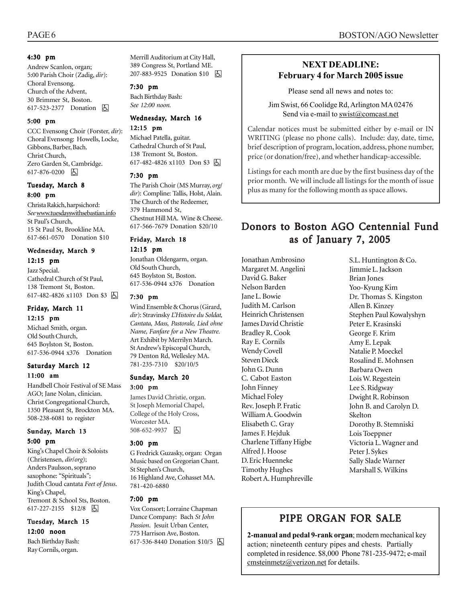#### 4:30 pm

Andrew Scanlon, organ; 5:00 Parish Choir (Zadig, *dir*): Choral Evensong. Church of the Advent, 30 Brimmer St, Boston. 617-523-2377 Donation **A** 

#### 5:00 pm

CCC Evensong Choir (Forster, *dir*): Choral Evensong: Howells, Locke, Gibbons, Barber, Bach. Christ Church, Zero Garden St, Cambridge. 617-876-0200 |  $\overline{\bigoplus}$ 

#### Tuesday, March 8 8:00 pm

Christa Rakich, harpsichord: *See* www.tuesdayswithsebastian.info St Paul's Church, 15 St Paul St, Brookline MA. 617-661-0570 Donation \$10

#### Wednesday, March 9 12:15 pm

Jazz Special. Cathedral Church of St Paul, 138 Tremont St, Boston. 617-482-4826 x1103 Don \$3 h

### Friday, March 11

12:15 pm Michael Smith, organ. Old South Church, 645 Boylston St, Boston. 617-536-0944 x376 Donation

#### Saturday March 12 11:00 am

Handbell Choir Festival of SE Mass AGO; Jane Nolan, clinician. Christ Congregational Church, 1350 Pleasant St, Brockton MA. 508-238-6081 to register

#### Sunday, March 13 5:00 pm

King's Chapel Choir & Soloists (Christensen, *dir*/*org*); Anders Paulsson, soprano saxophone: "Spirituals"; Judith Cloud cantata *Feet of Jesus*. King's Chapel, Tremont & School Sts, Boston. 617-227-2155 \$12/8 因

#### Tuesday, March 15 12:00 noon

Bach Birthday Bash: Ray Cornils, organ.

Merrill Auditorium at City Hall, 389 Congress St, Portland ME. 207-883-9525 Donation \$10 因

#### 7:30 pm

Bach Birthday Bash: *See 12:00 noon.*

#### Wednesday, March 16 12:15 pm

Michael Patella, guitar. Cathedral Church of St Paul, 138 Tremont St, Boston. 617-482-4826 x1103 Don \$3 因

#### 7:30 pm

The Parish Choir (MS Murray, *org*/ *dir*): Compline: Tallis, Holst, Alain. The Church of the Redeemer, 379 Hammond St, Chestnut Hill MA. Wine & Cheese. 617-566-7679 Donation \$20/10

#### Friday, March 18

#### 12:15 pm

Jonathan Oldengarm, organ. Old South Church, 645 Boylston St, Boston. 617-536-0944 x376 Donation

#### 7:30 pm

Wind Ensemble & Chorus (Girard, *dir*): Stravinsky *L'Histoire du Soldat, Cantata, Mass, Pastorale, Lied ohne Name, Fanfare for a New Theatre.* Art Exhibit by Merrilyn March. St Andrew's Episcopal Church, 79 Denton Rd, Wellesley MA. 781-235-7310 \$20/10/5

#### Sunday, March 20 3:00 pm

James David Christie, organ. St Joseph Memorial Chapel, College of the Holy Cross, Worcester MA. 508-652-9937 因

#### 3:00 pm

G Fredrick Guzasky, organ: Organ Music based on Gregorian Chant. St Stephen's Church, 16 Highland Ave, Cohasset MA. 781-420-6880

#### 7:00 pm

Vox Consort; Lorraine Chapman Dance Company: Bach *St John Passion*. Jesuit Urban Center, 775 Harrison Ave, Boston. 617-536-8440 Donation \$10/5 | A

#### **NEXT DEADLINE: February 4 for March 2005 issue**

Please send all news and notes to:

Jim Swist, 66 Coolidge Rd, Arlington MA 02476 Send via e-mail to swist@comcast.net

. Calendar notices must be submitted either by e-mail or IN WRITING (please no phone calls). Include: day, date, time, brief description of program, location, address, phone number, price (or donation/free), and whether handicap-accessible.

Listings for each month are due by the first business day of the prior month. We will include all listings for the month of issue plus as many for the following month as space allows.

# Donors to Boston AGO Centennial Fund as of January 7, 2005

Jonathan Ambrosino Margaret M. Angelini David G. Baker Nelson Barden Jane L. Bowie Judith M. Carlson Heinrich Christensen James David Christie Bradley R. Cook Ray E. Cornils Wendy Covell Steven Dieck John G. Dunn C. Cabot Easton John Finney Michael Foley Rev. Joseph P. Fratic William A. Goodwin Elisabeth C. Gray James F. Hejduk Charlene Tiffany Higbe Alfred J. Hoose D. Eric Huenneke Timothy Hughes Robert A. Humphreville S.L. Huntington & Co. Jimmie L. Jackson Brian Jones Yoo-Kyung Kim Dr. Thomas S. Kingston Allen B. Kinzey Stephen Paul Kowalyshyn Peter E. Krasinski George F. Krim Amy E. Lepak Natalie P. Moeckel Rosalind E. Mohnsen Barbara Owen Lois W. Regestein Lee S. Ridgway Dwight R. Robinson John B. and Carolyn D. Skelton Dorothy B. Stemniski Lois Toeppner Victoria L. Wagner and Peter J. Sykes Sally Slade Warner Marshall S. Wilkins

# PIPE ORGAN FOR SALE

**2-manual and pedal 9-rank organ**; modern mechanical key action; nineteenth century pipes and chests. Partially completed in residence. \$8,000 Phone 781-235-9472; e-mail cmsteinmetz@verizon.net for details.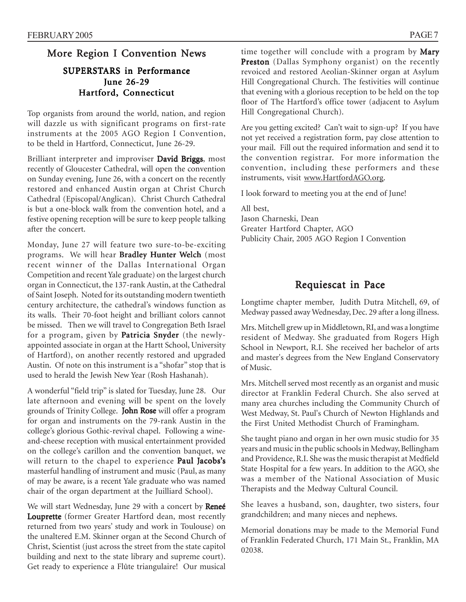# More Region I Convention News

### SUPERSTARS in Performance June 26-29 Hartford, Connecticut

Top organists from around the world, nation, and region will dazzle us with significant programs on first-rate instruments at the 2005 AGO Region I Convention, to be theld in Hartford, Connecticut, June 26-29.

Brilliant interpreter and improviser David Briggs, most recently of Gloucester Cathedral, will open the convention on Sunday evening, June 26, with a concert on the recently restored and enhanced Austin organ at Christ Church Cathedral (Episcopal/Anglican). Christ Church Cathedral is but a one-block walk from the convention hotel, and a festive opening reception will be sure to keep people talking after the concert.

Monday, June 27 will feature two sure-to-be-exciting programs. We will hear Bradley Hunter Welch (most recent winner of the Dallas International Organ Competition and recent Yale graduate) on the largest church organ in Connecticut, the 137-rank Austin, at the Cathedral of Saint Joseph. Noted for its outstanding modern twentieth century architecture, the cathedral's windows function as its walls. Their 70-foot height and brilliant colors cannot be missed. Then we will travel to Congregation Beth Israel for a program, given by Patricia Snyder (the newlyappointed associate in organ at the Hartt School, University of Hartford), on another recently restored and upgraded Austin. Of note on this instrument is a "shofar" stop that is used to herald the Jewish New Year (Rosh Hashanah).

A wonderful "field trip" is slated for Tuesday, June 28. Our late afternoon and evening will be spent on the lovely grounds of Trinity College. John Rose will offer a program for organ and instruments on the 79-rank Austin in the college's glorious Gothic-revival chapel. Following a wineand-cheese reception with musical entertainment provided on the college's carillon and the convention banquet, we will return to the chapel to experience Paul Jacobs's masterful handling of instrument and music (Paul, as many of may be aware, is a recent Yale graduate who was named chair of the organ department at the Juilliard School).

We will start Wednesday, June 29 with a concert by Reneé Louprette (former Greater Hartford dean, most recently returned from two years' study and work in Toulouse) on the unaltered E.M. Skinner organ at the Second Church of Christ, Scientist (just across the street from the state capitol building and next to the state library and supreme court). Get ready to experience a Flûte triangulaire! Our musical time together will conclude with a program by Mary Preston (Dallas Symphony organist) on the recently revoiced and restored Aeolian-Skinner organ at Asylum Hill Congregational Church. The festivities will continue that evening with a glorious reception to be held on the top floor of The Hartford's office tower (adjacent to Asylum Hill Congregational Church).

Are you getting excited? Can't wait to sign-up? If you have not yet received a registration form, pay close attention to your mail. Fill out the required information and send it to the convention registrar. For more information the convention, including these performers and these instruments, visit www.HartfordAGO.org.

I look forward to meeting you at the end of June!

All best, Jason Charneski, Dean Greater Hartford Chapter, AGO Publicity Chair, 2005 AGO Region I Convention

# Requiescat in Pace

Longtime chapter member, Judith Dutra Mitchell, 69, of Medway passed away Wednesday, Dec. 29 after a long illness.

Mrs. Mitchell grew up in Middletown, RI, and was a longtime resident of Medway. She graduated from Rogers High School in Newport, R.I. She received her bachelor of arts and master's degrees from the New England Conservatory of Music.

Mrs. Mitchell served most recently as an organist and music director at Franklin Federal Church. She also served at many area churches including the Community Church of West Medway, St. Paul's Church of Newton Highlands and the First United Methodist Church of Framingham.

She taught piano and organ in her own music studio for 35 years and music in the public schools in Medway, Bellingham and Providence, R.I. She was the music therapist at Medfield State Hospital for a few years. In addition to the AGO, she was a member of the National Association of Music Therapists and the Medway Cultural Council.

She leaves a husband, son, daughter, two sisters, four grandchildren; and many nieces and nephews.

Memorial donations may be made to the Memorial Fund of Franklin Federated Church, 171 Main St., Franklin, MA 02038.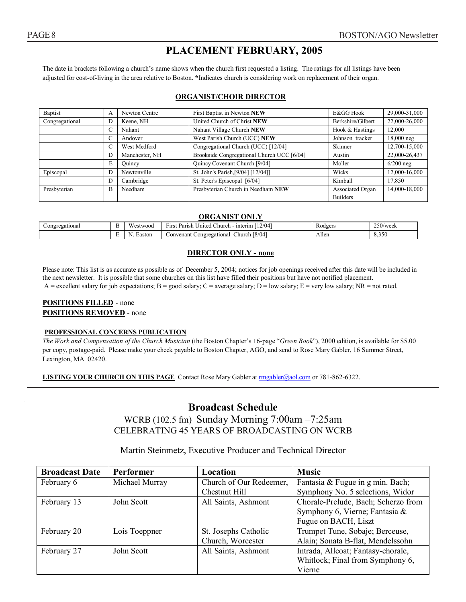## **PLACEMENT FEBRUARY, 2005**

The date in brackets following a church's name shows when the church first requested a listing. The ratings for all listings have been adjusted for cost-of-living in the area relative to Boston. **\***Indicates church is considering work on replacement of their organ.

#### **ORGANIST/CHOIR DIRECTOR**

| Baptist                          | A | Newton Centre                      | First Baptist in Newton NEW                | E&GG Hook         | 29,000-31,000 |
|----------------------------------|---|------------------------------------|--------------------------------------------|-------------------|---------------|
| Congregational<br>Keene, NH<br>Ð |   |                                    | United Church of Christ NEW                | Berkshire/Gilbert | 22,000-26,000 |
|                                  |   | Nahant                             | Nahant Village Church NEW                  | Hook & Hastings   | 12,000        |
|                                  |   | Andover                            | West Parish Church (UCC) NEW               | Johnson tracker   | 18,000 neg    |
|                                  |   | West Medford                       | Congregational Church (UCC) [12/04]        | Skinner           | 12,700-15,000 |
|                                  | D | Manchester, NH                     | Brookside Congregational Church UCC [6/04] | Austin            | 22,000-26,437 |
|                                  | E | Quincy                             | Quincy Covenant Church [9/04]              | Moller            | $6/200$ neg   |
| Episcopal                        | Ð | Newtonville                        | St. John's Parish, [9/04] [12/04]]         | Wicks             | 12,000-16,000 |
|                                  | D | Cambridge                          | St. Peter's Episcopal [6/04]               | Kimball           | 17,850        |
| Presbyterian<br>Needham<br>B     |   | Presbyterian Church in Needham NEW | Associated Organ                           | 14,000-18,000     |               |
|                                  |   |                                    |                                            | <b>Builders</b>   |               |

#### **ORGANIST ONLY**

| Congregational | <b>Service</b><br>vv:<br>$\sim$<br>$12/04$ <sub>1</sub><br>∽<br>∴hurch<br>interim<br>3LWOOG<br><i>Inited</i><br>F1rs1<br><b>D</b><br>ʻ41.<br>$\sim$ |        | -<br><b>A</b> odgers                          | $250$ /week<br>$\sim$ |                                    |
|----------------|-----------------------------------------------------------------------------------------------------------------------------------------------------|--------|-----------------------------------------------|-----------------------|------------------------------------|
|                | <b>Service</b><br><b>.</b>                                                                                                                          | Easton | 8/04<br>Convenant<br>∴hurch<br>Congregational | Allen                 | $\sim$ $\sim$<br>$\Omega$<br>8.350 |

#### **DIRECTOR ONLY - none**

Please note: This list is as accurate as possible as of December 5, 2004; notices for job openings received after this date will be included in the next newsletter. It is possible that some churches on this list have filled their positions but have not notified placement. A = excellent salary for job expectations; B = good salary; C = average salary; D = low salary; E = very low salary; NR = not rated.

#### **POSITIONS FILLED** - none **POSITIONS REMOVED** - none

#### **PROFESSIONAL CONCERNS PUBLICATION**

*The Work and Compensation of the Church Musician* (the Boston Chapter's 16-page "*Green Book*"), 2000 edition, is available for \$5.00 per copy, postage-paid. Please make your check payable to Boston Chapter, AGO, and send to Rose Mary Gabler, 16 Summer Street, Lexington, MA 02420.

**LISTING YOUR CHURCH ON THIS PAGE** Contact Rose Mary Gabler at rmgabler@aol.com or 781-862-6322.

### **Broadcast Schedule**

WCRB (102.5 fm) Sunday Morning 7:00am –7:25am CELEBRATING 45 YEARS OF BROADCASTING ON WCRB

#### Martin Steinmetz, Executive Producer and Technical Director

| <b>Broadcast Date</b> | <b>Performer</b> | Location                | <b>Music</b>                        |  |
|-----------------------|------------------|-------------------------|-------------------------------------|--|
| February 6            | Michael Murray   | Church of Our Redeemer, | Fantasia & Fugue in g min. Bach;    |  |
|                       |                  | Chestnut Hill           | Symphony No. 5 selections, Widor    |  |
| February 13           | John Scott       | All Saints, Ashmont     | Chorale-Prelude, Bach; Scherzo from |  |
|                       |                  |                         | Symphony 6, Vierne; Fantasia &      |  |
|                       |                  |                         | Fugue on BACH, Liszt                |  |
| February 20           | Lois Toeppner    | St. Josephs Catholic    | Trumpet Tune, Sobaje; Berceuse,     |  |
|                       |                  | Church, Worcester       | Alain; Sonata B-flat, Mendelssohn   |  |
| February 27           | John Scott       | All Saints, Ashmont     | Intrada, Allcoat; Fantasy-chorale,  |  |
|                       |                  |                         | Whitlock; Final from Symphony 6,    |  |
|                       |                  |                         | Vierne                              |  |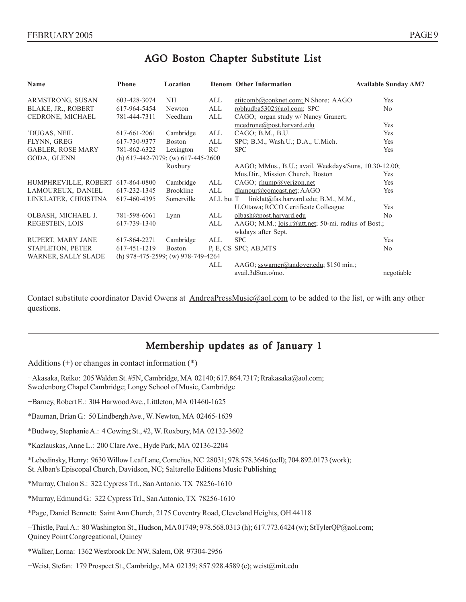# AGO Boston Chapter Substitute List

| Name                                                             | <b>Phone</b>                            | Location         |     | <b>Denom Other Information</b>                      | <b>Available Sunday AM?</b> |
|------------------------------------------------------------------|-----------------------------------------|------------------|-----|-----------------------------------------------------|-----------------------------|
| ARMSTRONG, SUSAN                                                 | 603-428-3074                            | NH               | ALL | etitcomb@conknet.com; N Shore; AAGO                 | Yes                         |
| BLAKE, JR., ROBERT                                               | 617-964-5454                            | Newton           | ALL | robhudba5302@aol.com; SPC                           | No                          |
| CEDRONE, MICHAEL                                                 | 781-444-7311                            | Needham          | ALL | CAGO; organ study w/ Nancy Granert;                 |                             |
|                                                                  |                                         |                  |     | mcedrone@post.harvard.edu                           | Yes                         |
| `DUGAS, NEIL                                                     | 617-661-2061                            | Cambridge        | ALL | CAGO; B.M., B.U.                                    | Yes                         |
| FLYNN, GREG                                                      | 617-730-9377                            | <b>Boston</b>    | ALL | SPC; B.M., Wash.U.; D.A., U.Mich.                   | Yes                         |
| <b>GABLER, ROSE MARY</b>                                         | 781-862-6322                            | Lexington        | RC  | <b>SPC</b>                                          | Yes                         |
| GODA, GLENN                                                      | (h) $617-442-7079$ ; (w) $617-445-2600$ |                  |     |                                                     |                             |
| Roxbury<br>AAGO; MMus., B.U.; avail. Weekdays/Suns, 10.30-12.00; |                                         |                  |     |                                                     |                             |
|                                                                  |                                         |                  |     | Mus.Dir., Mission Church, Boston                    | Yes                         |
| HUMPHREVILLE, ROBERT 617-864-0800                                |                                         | Cambridge        | ALL | CAGO; rhump@verizon.net                             | Yes                         |
| LAMOUREUX, DANIEL                                                | 617-232-1345                            | <b>Brookline</b> | ALL | dlamour@comcast.net; AAGO                           | Yes                         |
| LINKLATER, CHRISTINA                                             | 617-460-4395                            | Somerville       |     | ALL but T<br>linklat@fas.harvard.edu; B.M., M.M.,   |                             |
|                                                                  |                                         |                  |     | U.Ottawa; RCCO Certificate Colleague                | <b>Yes</b>                  |
| OLBASH, MICHAEL J.                                               | 781-598-6061                            | Lynn             | ALL | olbash@post.harvard.edu                             | N <sub>0</sub>              |
| REGESTEIN, LOIS                                                  | 617-739-1340                            |                  | ALL | AAGO; M.M.; lois.r@att.net; 50-mi. radius of Bost.; |                             |
|                                                                  |                                         |                  |     | wkdays after Sept.                                  |                             |
| RUPERT, MARY JANE                                                | 617-864-2271                            | Cambridge        | ALL | <b>SPC</b>                                          | Yes                         |
| STAPLETON, PETER                                                 | 617-451-1219                            | <b>Boston</b>    |     | P, E, CS SPC; AB, MTS                               | No                          |
| WARNER, SALLY SLADE                                              | (h) $978-475-2599$ ; (w) $978-749-4264$ |                  |     |                                                     |                             |
|                                                                  |                                         |                  | ALL | AAGO; sswarner@andover.edu; \$150 min.;             |                             |
|                                                                  |                                         |                  |     | avail.3dSun.o/mo.                                   | negotiable                  |

Contact substitute coordinator David Owens at AndreaPressMusic@aol.com to be added to the list, or with any other questions.

# Membership updates as of January 1

Additions  $(+)$  or changes in contact information  $(*)$ 

- +Akasaka, Reiko: 205 Walden St. #5N, Cambridge, MA 02140; 617.864.7317; Rrakasaka@aol.com; Swedenborg Chapel Cambridge; Longy School of Music, Cambridge
- +Barney, Robert E.: 304 Harwood Ave., Littleton, MA 01460-1625
- \*Bauman, Brian G.: 50 Lindbergh Ave., W. Newton, MA 02465-1639
- \*Budwey, Stephanie A.: 4 Cowing St., #2, W. Roxbury, MA 02132-3602
- \*Kazlauskas, Anne L.: 200 Clare Ave., Hyde Park, MA 02136-2204

\*Lebedinsky, Henry: 9630 Willow Leaf Lane, Cornelius, NC 28031; 978.578.3646 (cell); 704.892.0173 (work); St. Alban's Episcopal Church, Davidson, NC; Saltarello Editions Music Publishing

- \*Murray, Chalon S.: 322 Cypress Trl., San Antonio, TX 78256-1610
- \*Murray, Edmund G.: 322 Cypress Trl., San Antonio, TX 78256-1610
- \*Page, Daniel Bennett: Saint Ann Church, 2175 Coventry Road, Cleveland Heights, OH 44118
- +Thistle, Paul A.: 80 Washington St., Hudson, MA 01749; 978.568.0313 (h); 617.773.6424 (w); StTylerQP@aol.com; Quincy Point Congregational, Quincy
- \*Walker, Lorna: 1362 Westbrook Dr. NW, Salem, OR 97304-2956
- +Weist, Stefan: 179 Prospect St., Cambridge, MA 02139; 857.928.4589 (c); weist@mit.edu